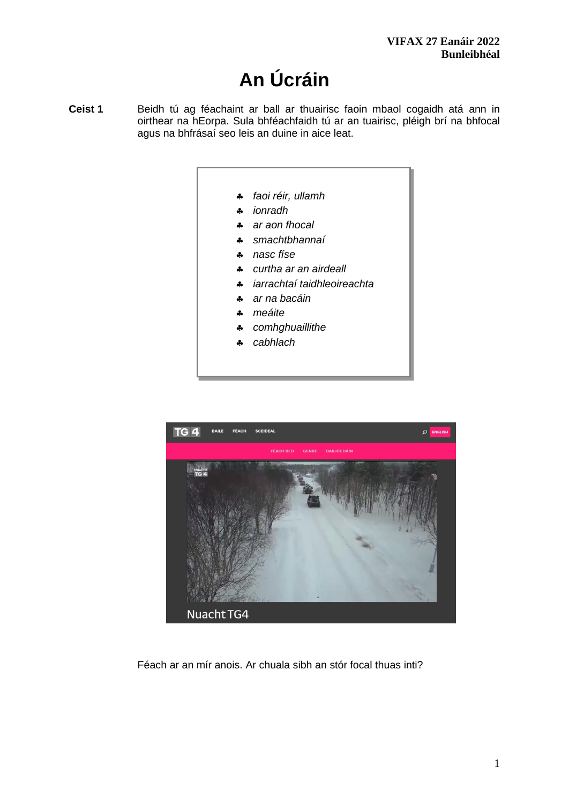# **An Úcráin**

- **Ceist 1** Beidh tú ag féachaint ar ball ar thuairisc faoin mbaol cogaidh atá ann in oirthear na hEorpa. Sula bhféachfaidh tú ar an tuairisc, pléigh brí na bhfocal agus na bhfrásaí seo leis an duine in aice leat.
	- *faoi réir, ullamh*
	- *ionradh*
	- *ar aon fhocal*
	- *smachtbhannaí*
	- *nasc físe*
	- *curtha ar an airdeall*
	- *iarrachtaí taidhleoireachta*
	- *ar na bacáin*
	- *meáite*
	- *comhghuaillithe*
	- *cabhlach*



Féach ar an mír anois. Ar chuala sibh an stór focal thuas inti?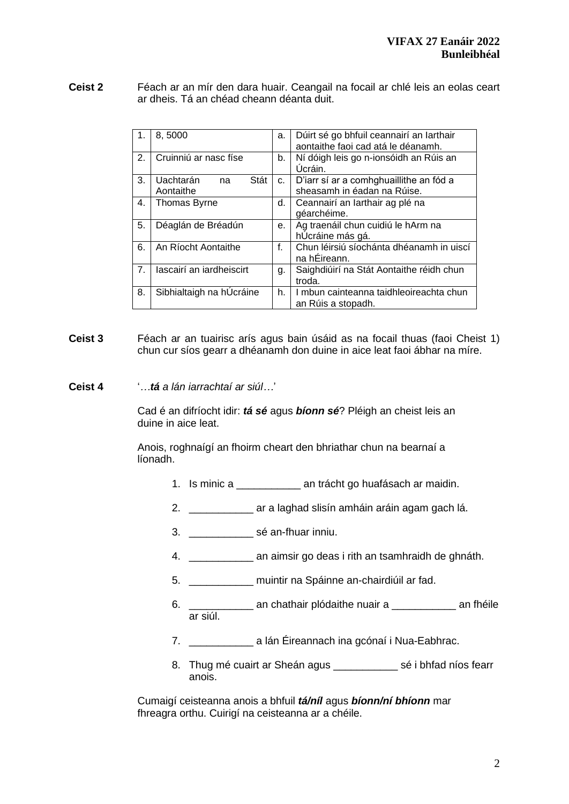**Ceist 2** Féach ar an mír den dara huair. Ceangail na focail ar chlé leis an eolas ceart ar dheis. Tá an chéad cheann déanta duit.

| 8,5000<br>$\mathbf{1}$ . |                          | a. | Dúirt sé go bhfuil ceannairí an Iarthair |  |  |
|--------------------------|--------------------------|----|------------------------------------------|--|--|
|                          |                          |    | aontaithe faoi cad atá le déanamh.       |  |  |
| 2.                       | Cruinniú ar nasc físe    | b. | Ní dóigh leis go n-ionsóidh an Rúis an   |  |  |
|                          |                          |    |                                          |  |  |
|                          |                          |    | Úcráin.                                  |  |  |
| 3.                       | Uachtarán<br>Stát<br>na  | C. | D'iarr sí ar a comhghuaillithe an fód a  |  |  |
|                          | Aontaithe                |    | sheasamh in éadan na Rúise.              |  |  |
| 4.                       | <b>Thomas Byrne</b>      |    | Ceannairí an Iarthair ag plé na          |  |  |
|                          |                          |    | géarchéime.                              |  |  |
|                          | 5.<br>Déaglán de Bréadún |    | Ag traenáil chun cuidiú le hArm na       |  |  |
|                          |                          | е. | hÚcráine más gá.                         |  |  |
| 6.                       | An Ríocht Aontaithe      |    | Chun léirsiú síochánta dhéanamh in uiscí |  |  |
|                          |                          |    | na hÉireann.                             |  |  |
| 7.                       | lascairí an iardheiscirt |    | Saighdiúirí na Stát Aontaithe réidh chun |  |  |
|                          |                          | g. | troda.                                   |  |  |
| 8.                       | Sibhialtaigh na hÚcráine |    | I mbun cainteanna taidhleoireachta chun  |  |  |
|                          |                          | h. | an Rúis a stopadh.                       |  |  |
|                          |                          |    |                                          |  |  |

- **Ceist 3** Féach ar an tuairisc arís agus bain úsáid as na focail thuas (faoi Cheist 1) chun cur síos gearr a dhéanamh don duine in aice leat faoi ábhar na míre.
- **Ceist 4** '*…tá a lán iarrachtaí ar siúl…*'

Cad é an difríocht idir: *tá sé* agus *bíonn sé*? Pléigh an cheist leis an duine in aice leat.

Anois, roghnaígí an fhoirm cheart den bhriathar chun na bearnaí a líonadh.

- 1. Is minic a \_\_\_\_\_\_\_\_\_\_\_ an trácht go huafásach ar maidin.
- 2. \_\_\_\_\_\_\_\_\_\_\_ ar a laghad slisín amháin aráin agam gach lá.
- 3. \_\_\_\_\_\_\_\_\_\_\_ sé an-fhuar inniu.
- 4. \_\_\_\_\_\_\_\_\_\_\_ an aimsir go deas i rith an tsamhraidh de ghnáth.
- 5. \_\_\_\_\_\_\_\_\_\_\_ muintir na Spáinne an-chairdiúil ar fad.
- 6. \_\_\_\_\_\_\_\_\_\_\_ an chathair plódaithe nuair a \_\_\_\_\_\_\_\_\_\_\_ an fhéile ar siúl.
- 7. \_\_\_\_\_\_\_\_\_\_\_ a lán Éireannach ina gcónaí i Nua-Eabhrac.
- 8. Thug mé cuairt ar Sheán agus \_\_\_\_\_\_\_\_\_\_\_ sé i bhfad níos fearr anois.

Cumaigí ceisteanna anois a bhfuil *tá/níl* agus *bíonn/ní bhíonn* mar fhreagra orthu. Cuirigí na ceisteanna ar a chéile.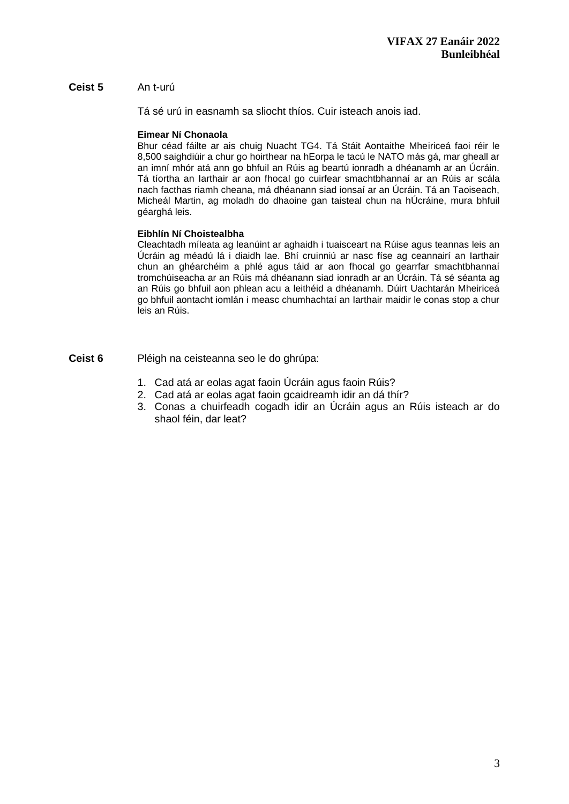## **Ceist 5** An t-urú

Tá sé urú in easnamh sa sliocht thíos. Cuir isteach anois iad.

### **Eimear Ní Chonaola**

Bhur céad fáilte ar ais chuig Nuacht TG4. Tá Stáit Aontaithe Mheiriceá faoi réir le 8,500 saighdiúir a chur go hoirthear na hEorpa le tacú le NATO más gá, mar gheall ar an imní mhór atá ann go bhfuil an Rúis ag beartú ionradh a dhéanamh ar an Úcráin. Tá tíortha an Iarthair ar aon fhocal go cuirfear smachtbhannaí ar an Rúis ar scála nach facthas riamh cheana, má dhéanann siad ionsaí ar an Úcráin. Tá an Taoiseach, Micheál Martin, ag moladh do dhaoine gan taisteal chun na hÚcráine, mura bhfuil géarghá leis.

### **Eibhlín Ní Choistealbha**

Cleachtadh míleata ag leanúint ar aghaidh i tuaisceart na Rúise agus teannas leis an Úcráin ag méadú lá i diaidh lae. Bhí cruinniú ar nasc físe ag ceannairí an Iarthair chun an ghéarchéim a phlé agus táid ar aon fhocal go gearrfar smachtbhannaí tromchúiseacha ar an Rúis má dhéanann siad ionradh ar an Úcráin. Tá sé séanta ag an Rúis go bhfuil aon phlean acu a leithéid a dhéanamh. Dúirt Uachtarán Mheiriceá go bhfuil aontacht iomlán i measc chumhachtaí an Iarthair maidir le conas stop a chur leis an Rúis.

**Ceist 6** Pléigh na ceisteanna seo le do ghrúpa:

- 1. Cad atá ar eolas agat faoin Úcráin agus faoin Rúis?
- 2. Cad atá ar eolas agat faoin gcaidreamh idir an dá thír?
- 3. Conas a chuirfeadh cogadh idir an Úcráin agus an Rúis isteach ar do shaol féin, dar leat?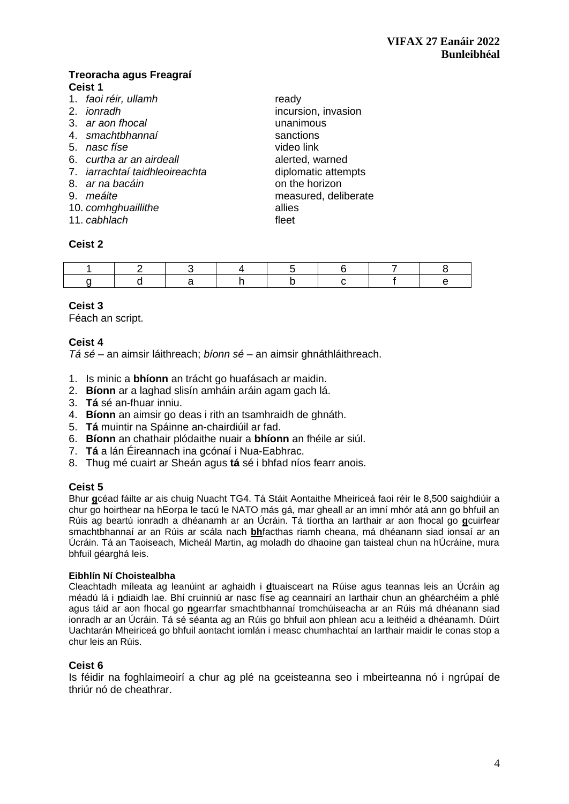## **Treoracha agus Freagraí Ceist 1**

- 1. *faoi réir, ullamh* ready
- 
- 3. *ar aon fhocal* unanimous
- 4. *smachtbhannaí* sanctions
- 5. *nasc físe* video link
- 6. *curtha ar an airdeall* alerted, warned
- 7. *iarrachtaí taidhleoireachta* diplomatic attempts
- 8. *ar na bacáin* **being the set on the horizon**
- 
- 10. *comhghuaillithe* allies
- 11. *cabhlach* fleet

## **Ceist 2**

2. *ionradh* incursion, invasion 9. *meáite* measured, deliberate

## **Ceist 3**

Féach an script.

## **Ceist 4**

*Tá sé* – an aimsir láithreach; *bíonn sé* – an aimsir ghnáthláithreach.

- 1. Is minic a **bhíonn** an trácht go huafásach ar maidin.
- 2. **Bíonn** ar a laghad slisín amháin aráin agam gach lá.
- 3. **Tá** sé an-fhuar inniu.
- 4. **Bíonn** an aimsir go deas i rith an tsamhraidh de ghnáth.
- 5. **Tá** muintir na Spáinne an-chairdiúil ar fad.
- 6. **Bíonn** an chathair plódaithe nuair a **bhíonn** an fhéile ar siúl.
- 7. **Tá** a lán Éireannach ina gcónaí i Nua-Eabhrac.
- 8. Thug mé cuairt ar Sheán agus **tá** sé i bhfad níos fearr anois.

### **Ceist 5**

Bhur **g**céad fáilte ar ais chuig Nuacht TG4. Tá Stáit Aontaithe Mheiriceá faoi réir le 8,500 saighdiúir a chur go hoirthear na hEorpa le tacú le NATO más gá, mar gheall ar an imní mhór atá ann go bhfuil an Rúis ag beartú ionradh a dhéanamh ar an Úcráin. Tá tíortha an Iarthair ar aon fhocal go **g**cuirfear smachtbhannaí ar an Rúis ar scála nach **bh**facthas riamh cheana, má dhéanann siad ionsaí ar an Úcráin. Tá an Taoiseach, Micheál Martin, ag moladh do dhaoine gan taisteal chun na hÚcráine, mura bhfuil géarghá leis.

#### **Eibhlín Ní Choistealbha**

Cleachtadh míleata ag leanúint ar aghaidh i **d**tuaisceart na Rúise agus teannas leis an Úcráin ag méadú lá i **n**diaidh lae. Bhí cruinniú ar nasc físe ag ceannairí an Iarthair chun an ghéarchéim a phlé agus táid ar aon fhocal go **n**gearrfar smachtbhannaí tromchúiseacha ar an Rúis má dhéanann siad ionradh ar an Úcráin. Tá sé séanta ag an Rúis go bhfuil aon phlean acu a leithéid a dhéanamh. Dúirt Uachtarán Mheiriceá go bhfuil aontacht iomlán i measc chumhachtaí an Iarthair maidir le conas stop a chur leis an Rúis.

### **Ceist 6**

Is féidir na foghlaimeoirí a chur ag plé na gceisteanna seo i mbeirteanna nó i ngrúpaí de thriúr nó de cheathrar.